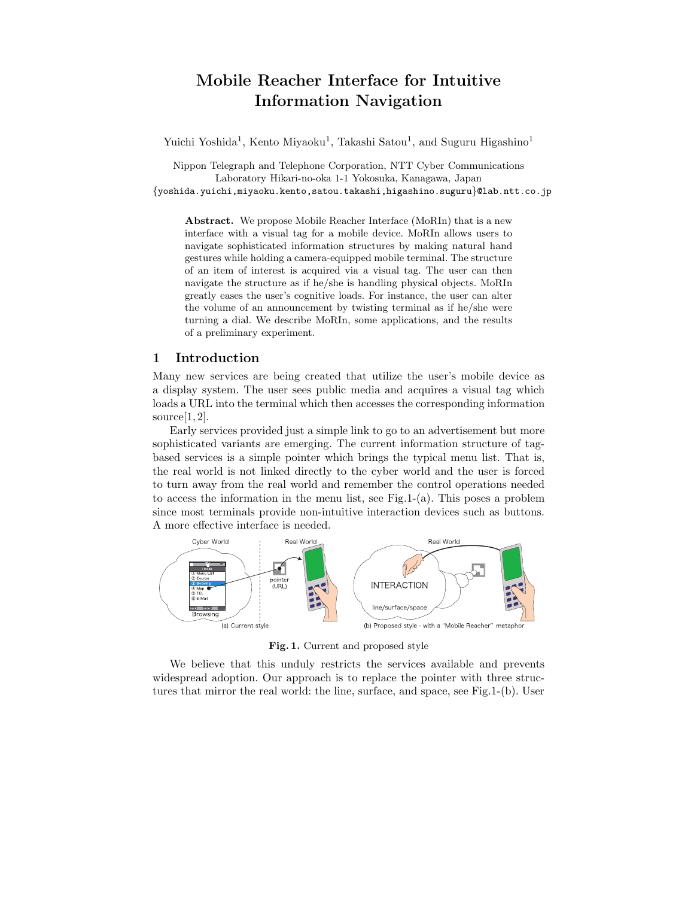# Mobile Reacher Interface for Intuitive Information Navigation

Yuichi Yoshida<sup>1</sup>, Kento Miyaoku<sup>1</sup>, Takashi Satou<sup>1</sup>, and Suguru Higashino<sup>1</sup>

Nippon Telegraph and Telephone Corporation, NTT Cyber Communications Laboratory Hikari-no-oka 1-1 Yokosuka, Kanagawa, Japan {yoshida.yuichi,miyaoku.kento,satou.takashi,higashino.suguru}@lab.ntt.co.jp

Abstract. We propose Mobile Reacher Interface (MoRIn) that is a new interface with a visual tag for a mobile device. MoRIn allows users to navigate sophisticated information structures by making natural hand gestures while holding a camera-equipped mobile terminal. The structure of an item of interest is acquired via a visual tag. The user can then navigate the structure as if he/she is handling physical objects. MoRIn greatly eases the user's cognitive loads. For instance, the user can alter the volume of an announcement by twisting terminal as if he/she were turning a dial. We describe MoRIn, some applications, and the results of a preliminary experiment.

## 1 Introduction

Many new services are being created that utilize the user's mobile device as a display system. The user sees public media and acquires a visual tag which loads a URL into the terminal which then accesses the corresponding information  $source[1,2].$ 

Early services provided just a simple link to go to an advertisement but more sophisticated variants are emerging. The current information structure of tagbased services is a simple pointer which brings the typical menu list. That is, the real world is not linked directly to the cyber world and the user is forced to turn away from the real world and remember the control operations needed to access the information in the menu list, see Fig.1-(a). This poses a problem since most terminals provide non-intuitive interaction devices such as buttons. A more effective interface is needed.



Fig. 1. Current and proposed style

We believe that this unduly restricts the services available and prevents widespread adoption. Our approach is to replace the pointer with three structures that mirror the real world: the line, surface, and space, see Fig.1-(b). User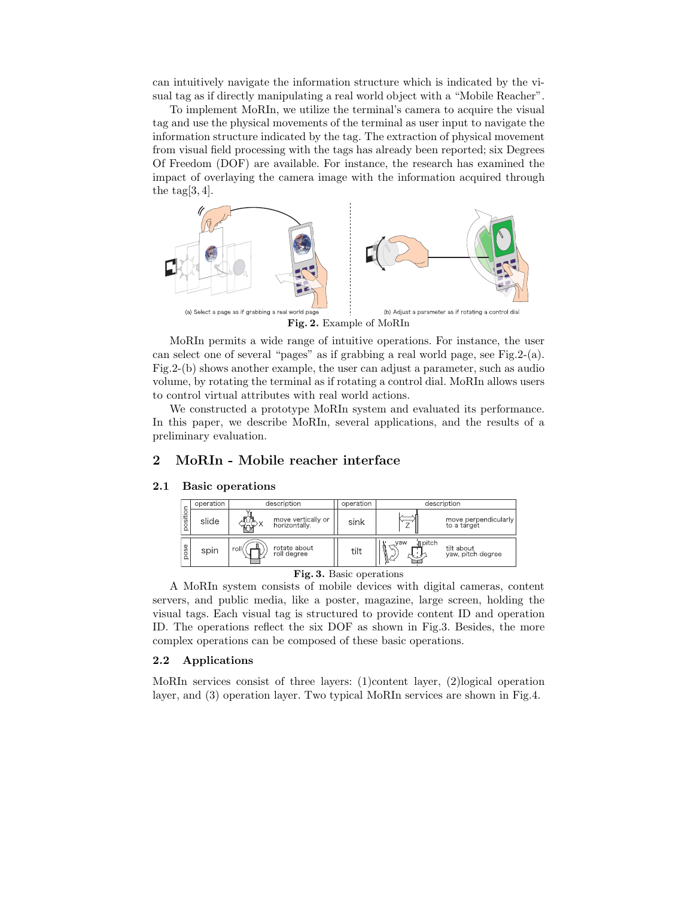can intuitively navigate the information structure which is indicated by the visual tag as if directly manipulating a real world object with a "Mobile Reacher".

To implement MoRIn, we utilize the terminal's camera to acquire the visual tag and use the physical movements of the terminal as user input to navigate the information structure indicated by the tag. The extraction of physical movement from visual field processing with the tags has already been reported; six Degrees Of Freedom (DOF) are available. For instance, the research has examined the impact of overlaying the camera image with the information acquired through the tag[ $3, 4$ ].



Fig. 2. Example of MoRIn

MoRIn permits a wide range of intuitive operations. For instance, the user can select one of several "pages" as if grabbing a real world page, see Fig.2-(a). Fig.2-(b) shows another example, the user can adjust a parameter, such as audio volume, by rotating the terminal as if rotating a control dial. MoRIn allows users to control virtual attributes with real world actions.

We constructed a prototype MoRIn system and evaluated its performance. In this paper, we describe MoRIn, several applications, and the results of a preliminary evaluation.

## 2 MoRIn - Mobile reacher interface

#### 2.1 Basic operations

| position | operation | description |                                     | operation | description               |                                     |
|----------|-----------|-------------|-------------------------------------|-----------|---------------------------|-------------------------------------|
|          | slide     | rior        | move vertically or<br>horizontally. | sink      |                           | move perpendicularly<br>to a target |
| pose     | spin      | roll        | rotate about<br>roll degree         | tilt      | n pitch<br>.vaw<br>$\sim$ | tilt about<br>yaw, pitch degree     |

Fig. 3. Basic operations

A MoRIn system consists of mobile devices with digital cameras, content servers, and public media, like a poster, magazine, large screen, holding the visual tags. Each visual tag is structured to provide content ID and operation ID. The operations reflect the six DOF as shown in Fig.3. Besides, the more complex operations can be composed of these basic operations.

#### 2.2 Applications

MoRIn services consist of three layers: (1)content layer, (2)logical operation layer, and (3) operation layer. Two typical MoRIn services are shown in Fig.4.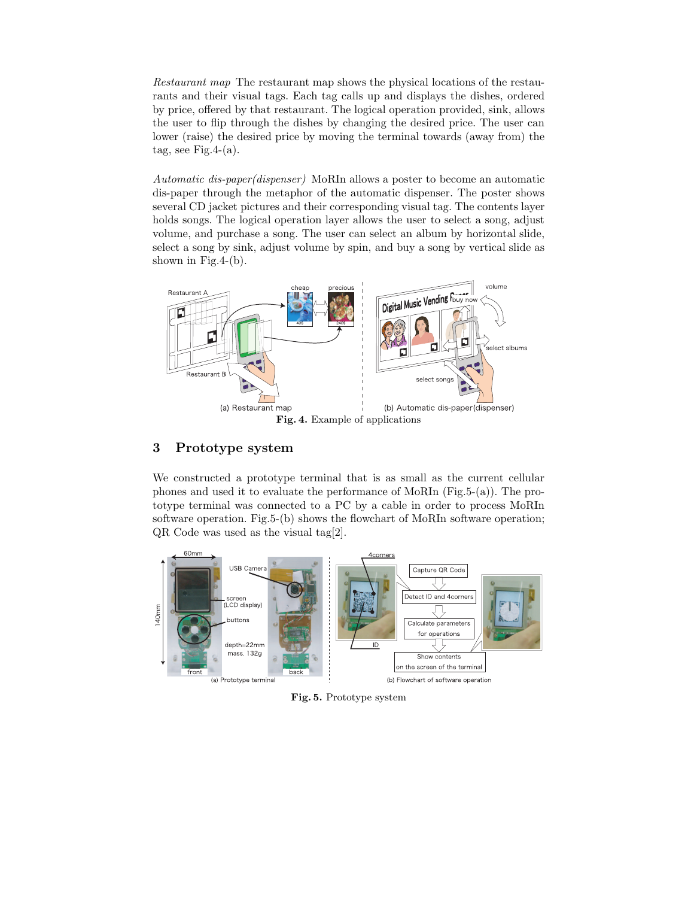Restaurant map The restaurant map shows the physical locations of the restaurants and their visual tags. Each tag calls up and displays the dishes, ordered by price, offered by that restaurant. The logical operation provided, sink, allows the user to flip through the dishes by changing the desired price. The user can lower (raise) the desired price by moving the terminal towards (away from) the tag, see Fig.  $4-(a)$ .

Automatic dis-paper(dispenser) MoRIn allows a poster to become an automatic dis-paper through the metaphor of the automatic dispenser. The poster shows several CD jacket pictures and their corresponding visual tag. The contents layer holds songs. The logical operation layer allows the user to select a song, adjust volume, and purchase a song. The user can select an album by horizontal slide, select a song by sink, adjust volume by spin, and buy a song by vertical slide as shown in Fig.4-(b).



# 3 Prototype system

We constructed a prototype terminal that is as small as the current cellular phones and used it to evaluate the performance of MoRIn (Fig.5-(a)). The prototype terminal was connected to a PC by a cable in order to process MoRIn software operation. Fig.5-(b) shows the flowchart of MoRIn software operation; QR Code was used as the visual tag[2].



Fig. 5. Prototype system